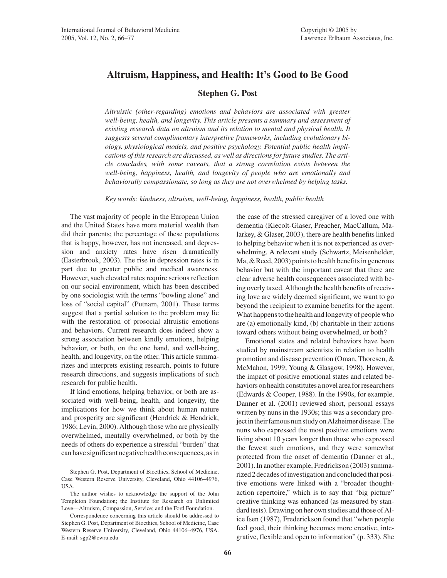# **Altruism, Happiness, and Health: It's Good to Be Good**

## **Stephen G. Post**

*Altruistic (other-regarding) emotions and behaviors are associated with greater well-being, health, and longevity. This article presents a summary and assessment of existing research data on altruism and its relation to mental and physical health. It suggests several complimentary interpretive frameworks, including evolutionary biology, physiological models, and positive psychology. Potential public health implications of this research are discussed, as well as directions for future studies. The article concludes, with some caveats, that a strong correlation exists between the well-being, happiness, health, and longevity of people who are emotionally and behaviorally compassionate, so long as they are not overwhelmed by helping tasks.*

*Key words: kindness, altruism, well-being, happiness, health, public health*

The vast majority of people in the European Union and the United States have more material wealth than did their parents; the percentage of these populations that is happy, however, has not increased, and depression and anxiety rates have risen dramatically (Easterbrook, 2003). The rise in depression rates is in part due to greater public and medical awareness. However, such elevated rates require serious reflection on our social environment, which has been described by one sociologist with the terms "bowling alone" and loss of "social capital" (Putnam, 2001). These terms suggest that a partial solution to the problem may lie with the restoration of prosocial altruistic emotions and behaviors. Current research does indeed show a strong association between kindly emotions, helping behavior, or both, on the one hand, and well-being, health, and longevity, on the other. This article summarizes and interprets existing research, points to future research directions, and suggests implications of such research for public health.

If kind emotions, helping behavior, or both are associated with well-being, health, and longevity, the implications for how we think about human nature and prosperity are significant (Hendrick & Hendrick, 1986; Levin, 2000). Although those who are physically overwhelmed, mentally overwhelmed, or both by the needs of others do experience a stressful "burden" that can have significant negative health consequences, as in the case of the stressed caregiver of a loved one with dementia (Kiecolt-Glaser, Preacher, MacCallum, Malarkey, & Glaser, 2003), there are health benefits linked to helping behavior when it is not experienced as overwhelming. A relevant study (Schwartz, Meisenhelder, Ma, & Reed, 2003) points to health benefits in generous behavior but with the important caveat that there are clear adverse health consequences associated with being overly taxed. Although the health benefits of receiving love are widely deemed significant, we want to go beyond the recipient to examine benefits for the agent. What happens to the health and longevity of people who are (a) emotionally kind, (b) charitable in their actions toward others without being overwhelmed, or both?

Emotional states and related behaviors have been studied by mainstream scientists in relation to health promotion and disease prevention (Oman, Thoresen, & McMahon, 1999; Young & Glasgow, 1998). However, the impact of positive emotional states and related behaviors on health constitutes a novel area for researchers (Edwards & Cooper, 1988). In the 1990s, for example, Danner et al. (2001) reviewed short, personal essays written by nuns in the 1930s; this was a secondary project in their famous nun study on Alzheimer disease. The nuns who expressed the most positive emotions were living about 10 years longer than those who expressed the fewest such emotions, and they were somewhat protected from the onset of dementia (Danner et al., 2001). In another example, Fredrickson (2003) summarized 2 decades of investigation and concluded that positive emotions were linked with a "broader thoughtaction repertoire," which is to say that "big picture" creative thinking was enhanced (as measured by standard tests). Drawing on her own studies and those of Alice Isen (1987), Frederickson found that "when people feel good, their thinking becomes more creative, integrative, flexible and open to information" (p. 333). She

Stephen G. Post, Department of Bioethics, School of Medicine, Case Western Reserve University, Cleveland, Ohio 44106–4976, USA.

The author wishes to acknowledge the support of the John Templeton Foundation; the Institute for Research on Unlimited Love—Altruism, Compassion, Service; and the Ford Foundation.

Correspondence concerning this article should be addressed to Stephen G. Post, Department of Bioethics, School of Medicine, Case Western Reserve University, Cleveland, Ohio 44106–4976, USA. E-mail: sgp2@cwru.edu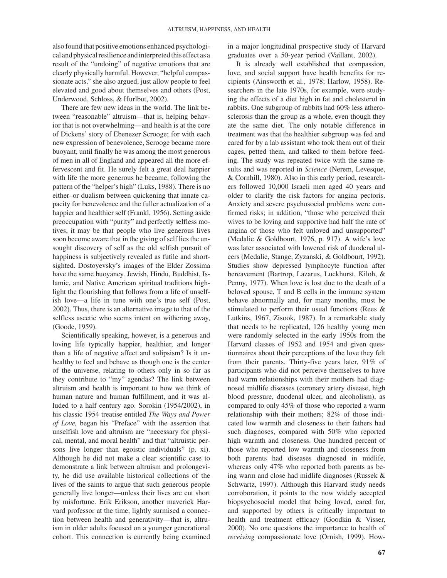also found that positive emotions enhanced psychological and physical resilience and interpreted this effect as a result of the "undoing" of negative emotions that are clearly physically harmful. However, "helpful compassionate acts," she also argued, just allow people to feel elevated and good about themselves and others (Post, Underwood, Schloss, & Hurlbut, 2002).

There are few new ideas in the world. The link between "reasonable" altruism—that is, helping behavior that is not overwhelming—and health is at the core of Dickens' story of Ebenezer Scrooge; for with each new expression of benevolence, Scrooge became more buoyant, until finally he was among the most generous of men in all of England and appeared all the more effervescent and fit. He surely felt a great deal happier with life the more generous he became, following the pattern of the "helper's high" (Luks, 1988). There is no either–or dualism between quickening that innate capacity for benevolence and the fuller actualization of a happier and healthier self (Frankl, 1956). Setting aside preoccupation with "purity" and perfectly selfless motives, it may be that people who live generous lives soon become aware that in the giving of self lies the unsought discovery of self as the old selfish pursuit of happiness is subjectively revealed as futile and shortsighted. Dostoyevsky's images of the Elder Zossima have the same buoyancy. Jewish, Hindu, Buddhist, Islamic, and Native American spiritual traditions highlight the flourishing that follows from a life of unselfish love—a life in tune with one's true self (Post, 2002). Thus, there is an alternative image to that of the selfless ascetic who seems intent on withering away, (Goode, 1959).

Scientifically speaking, however, is a generous and loving life typically happier, healthier, and longer than a life of negative affect and solipsism? Is it unhealthy to feel and behave as though one is the center of the universe, relating to others only in so far as they contribute to "my" agendas? The link between altruism and health is important to how we think of human nature and human fulfillment, and it was alluded to a half century ago. Sorokin (1954/2002), in his classic 1954 treatise entitled *The Ways and Power of Love,* began his "Preface" with the assertion that unselfish love and altruism are "necessary for physical, mental, and moral health" and that "altruistic persons live longer than egoistic individuals" (p. xi). Although he did not make a clear scientific case to demonstrate a link between altruism and prolongevity, he did use available historical collections of the lives of the saints to argue that such generous people generally live longer—unless their lives are cut short by misfortune. Erik Erikson, another maverick Harvard professor at the time, lightly surmised a connection between health and generativity—that is, altruism in older adults focused on a younger generational cohort. This connection is currently being examined

in a major longitudinal prospective study of Harvard graduates over a 50-year period (Vaillant, 2002).

It is already well established that compassion, love, and social support have health benefits for recipients (Ainsworth et al., 1978; Harlow, 1958). Researchers in the late 1970s, for example, were studying the effects of a diet high in fat and cholesterol in rabbits. One subgroup of rabbits had 60% less atherosclerosis than the group as a whole, even though they ate the same diet. The only notable difference in treatment was that the healthier subgroup was fed and cared for by a lab assistant who took them out of their cages, petted them, and talked to them before feeding. The study was repeated twice with the same results and was reported in *Science* (Nerem, Levesque, & Cornhill, 1980). Also in this early period, researchers followed 10,000 Israeli men aged 40 years and older to clarify the risk factors for angina pectoris. Anxiety and severe psychosocial problems were confirmed risks; in addition, "those who perceived their wives to be loving and supportive had half the rate of angina of those who felt unloved and unsupported" (Medalie & Goldbourt, 1976, p. 917). A wife's love was later associated with lowered risk of duodenal ulcers (Medalie, Stange, Zyzanski, & Goldbourt, 1992). Studies show depressed lymphocyte function after bereavement (Bartrop, Lazarus, Luckhurst, Kiloh, & Penny, 1977). When love is lost due to the death of a beloved spouse, T and B cells in the immune system behave abnormally and, for many months, must be stimulated to perform their usual functions (Rees & Lutkins, 1967, Zisook, 1987). In a remarkable study that needs to be replicated, 126 healthy young men were randomly selected in the early 1950s from the Harvard classes of 1952 and 1954 and given questionnaires about their perceptions of the love they felt from their parents. Thirty-five years later, 91% of participants who did not perceive themselves to have had warm relationships with their mothers had diagnosed midlife diseases (coronary artery disease, high blood pressure, duodenal ulcer, and alcoholism), as compared to only 45% of those who reported a warm relationship with their mothers; 82% of those indicated low warmth and closeness to their fathers had such diagnoses, compared with 50% who reported high warmth and closeness. One hundred percent of those who reported low warmth and closeness from both parents had diseases diagnosed in midlife, whereas only 47% who reported both parents as being warm and close had midlife diagnoses (Russek & Schwartz, 1997). Although this Harvard study needs corroboration, it points to the now widely accepted biopsychosocial model that being loved, cared for, and supported by others is critically important to health and treatment efficacy (Goodkin & Visser, 2000). No one questions the importance to health of *receiving* compassionate love (Ornish, 1999). How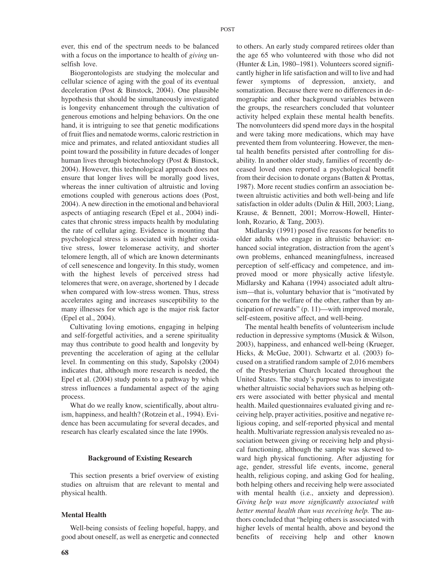ever, this end of the spectrum needs to be balanced with a focus on the importance to health of *giving* unselfish love.

Biogerontologists are studying the molecular and cellular science of aging with the goal of its eventual deceleration (Post & Binstock, 2004). One plausible hypothesis that should be simultaneously investigated is longevity enhancement through the cultivation of generous emotions and helping behaviors. On the one hand, it is intriguing to see that genetic modifications of fruit flies and nematode worms, caloric restriction in mice and primates, and related antioxidant studies all point toward the possibility in future decades of longer human lives through biotechnology (Post & Binstock, 2004). However, this technological approach does not ensure that longer lives will be morally good lives, whereas the inner cultivation of altruistic and loving emotions coupled with generous actions does (Post, 2004). A new direction in the emotional and behavioral aspects of antiaging research (Epel et al., 2004) indicates that chronic stress impacts health by modulating the rate of cellular aging. Evidence is mounting that psychological stress is associated with higher oxidative stress, lower telomerase activity, and shorter telomere length, all of which are known determinants of cell senescence and longevity. In this study, women with the highest levels of perceived stress had telomeres that were, on average, shortened by 1 decade when compared with low-stress women. Thus, stress accelerates aging and increases susceptibility to the many illnesses for which age is the major risk factor (Epel et al., 2004).

Cultivating loving emotions, engaging in helping and self-forgetful activities, and a serene spirituality may thus contribute to good health and longevity by preventing the acceleration of aging at the cellular level. In commenting on this study, Sapolsky (2004) indicates that, although more research is needed, the Epel et al. (2004) study points to a pathway by which stress influences a fundamental aspect of the aging process.

What do we really know, scientifically, about altruism, happiness, and health? (Rotzein et al., 1994). Evidence has been accumulating for several decades, and research has clearly escalated since the late 1990s.

#### **Background of Existing Research**

This section presents a brief overview of existing studies on altruism that are relevant to mental and physical health.

#### **Mental Health**

Well-being consists of feeling hopeful, happy, and good about oneself, as well as energetic and connected

to others. An early study compared retirees older than the age 65 who volunteered with those who did not (Hunter & Lin, 1980–1981). Volunteers scored significantly higher in life satisfaction and will to live and had fewer symptoms of depression, anxiety, and somatization. Because there were no differences in demographic and other background variables between the groups, the researchers concluded that volunteer activity helped explain these mental health benefits. The nonvolunteers did spend more days in the hospital and were taking more medications, which may have prevented them from volunteering. However, the mental health benefits persisted after controlling for disability. In another older study, families of recently deceased loved ones reported a psychological benefit from their decision to donate organs (Batten & Prottas, 1987). More recent studies confirm an association between altruistic activities and both well-being and life satisfaction in older adults (Dulin & Hill, 2003; Liang, Krause, & Bennett, 2001; Morrow-Howell, Hinterlonh, Rozario, & Tang, 2003).

Midlarsky (1991) posed five reasons for benefits to older adults who engage in altruistic behavior: enhanced social integration, distraction from the agent's own problems, enhanced meaningfulness, increased perception of self-efficacy and competence, and improved mood or more physically active lifestyle. Midlarsky and Kahana (1994) associated adult altruism—that is, voluntary behavior that is "motivated by concern for the welfare of the other, rather than by anticipation of rewards" (p. 11)—with improved morale, self-esteem, positive affect, and well-being.

The mental health benefits of volunteerism include reduction in depressive symptoms (Musick & Wilson, 2003), happiness, and enhanced well-being (Krueger, Hicks, & McGue, 2001). Schwartz et al. (2003) focused on a stratified random sample of 2,016 members of the Presbyterian Church located throughout the United States. The study's purpose was to investigate whether altruistic social behaviors such as helping others were associated with better physical and mental health. Mailed questionnaires evaluated giving and receiving help, prayer activities, positive and negative religious coping, and self-reported physical and mental health. Multivariate regression analysis revealed no association between giving or receiving help and physical functioning, although the sample was skewed toward high physical functioning. After adjusting for age, gender, stressful life events, income, general health, religious coping, and asking God for healing, both helping others and receiving help were associated with mental health (i.e., anxiety and depression). *Giving help was more significantly associated with better mental health than was receiving help.* The authors concluded that "helping others is associated with higher levels of mental health, above and beyond the benefits of receiving help and other known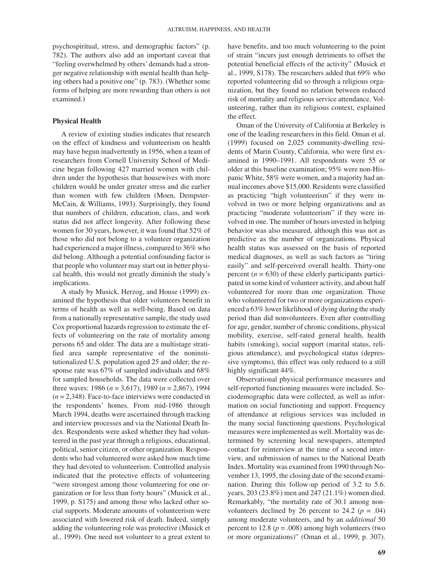psychospiritual, stress, and demographic factors" (p. 782). The authors also add an important caveat that "feeling overwhelmed by others' demands had a stronger negative relationship with mental health than helping others had a positive one" (p. 783). (Whether some forms of helping are more rewarding than others is not examined.)

#### **Physical Health**

A review of existing studies indicates that research on the effect of kindness and volunteerism on health may have begun inadvertently in 1956, when a team of researchers from Cornell University School of Medicine began following 427 married women with children under the hypothesis that housewives with more children would be under greater stress and die earlier than women with few children (Moen, Dempster-McCain, & Williams, 1993). Surprisingly, they found that numbers of children, education, class, and work status did not affect longevity. After following these women for 30 years, however, it was found that 52% of those who did not belong to a volunteer organization had experienced a major illness, compared to 36% who did belong. Although a potential confounding factor is that people who volunteer may start out in better physical health, this would not greatly diminish the study's implications.

A study by Musick, Herzog, and House (1999) examined the hypothesis that older volunteers benefit in terms of health as well as well-being. Based on data from a nationally representative sample, the study used Cox proportional hazards regression to estimate the effects of volunteering on the rate of mortality among persons 65 and older. The data are a multistage stratified area sample representative of the noninstitutionalized U.S. population aged 25 and older; the response rate was 67% of sampled individuals and 68% for sampled households. The data were collected over three waves: 1986 (*n* = 3,617), 1989 (*n* = 2,867), 1994 (*n* = 2,348). Face-to-face interviews were conducted in the respondents' homes. From mid-1986 through March 1994, deaths were ascertained through tracking and interview processes and via the National Death Index. Respondents were asked whether they had volunteered in the past year through a religious, educational, political, senior citizen, or other organization. Respondents who had volunteered were asked how much time they had devoted to volunteerism. Controlled analysis indicated that the protective effects of volunteering "were strongest among those volunteering for one organization or for less than forty hours" (Musick et al., 1999, p. S175) and among those who lacked other social supports. Moderate amounts of volunteerism were associated with lowered risk of death. Indeed, simply adding the volunteering role was protective (Musick et al., 1999). One need not volunteer to a great extent to

have benefits, and too much volunteering to the point of strain "incurs just enough detriments to offset the potential beneficial effects of the activity" (Musick et al., 1999, S178). The researchers added that 69% who reported volunteering did so through a religious organization, but they found no relation between reduced risk of mortality and religious service attendance. Volunteering, rather than its religious context, explained the effect.

Oman of the University of California at Berkeley is one of the leading researchers in this field. Oman et al. (1999) focused on 2,025 community-dwelling residents of Marin County, California, who were first examined in 1990–1991. All respondents were 55 or older at this baseline examination; 95% were non-Hispanic White, 58% were women, and a majority had annual incomes above \$15,000. Residents were classified as practicing "high volunteerism" if they were involved in two or more helping organizations and as practicing "moderate volunteerism" if they were involved in one. The number of hours invested in helping behavior was also measured, although this was not as predictive as the number of organizations. Physical health status was assessed on the basis of reported medical diagnoses, as well as such factors as "tiring easily" and self-perceived overall health. Thirty-one percent  $(n = 630)$  of these elderly participants participated in some kind of volunteer activity, and about half volunteered for more than one organization. Those who volunteered for two or more organizations experienced a 63% lower likelihood of dying during the study period than did nonvolunteers. Even after controlling for age, gender, number of chronic conditions, physical mobility, exercise, self-rated general health, health habits (smoking), social support (marital status, religious attendance), and psychological status (depressive symptoms), this effect was only reduced to a still highly significant  $44\%$ .

Observational physical performance measures and self-reported functioning measures were included. Sociodemographic data were collected, as well as information on social functioning and support. Frequency of attendance at religious services was included in the many social functioning questions. Psychological measures were implemented as well. Mortality was determined by screening local newspapers, attempted contact for reinterview at the time of a second interview, and submission of names to the National Death Index. Mortality was examined from 1990 through November 13, 1995, the closing date of the second examination. During this follow-up period of 3.2 to 5.6. years, 203 (23.8%) men and 247 (21.1%) women died. Remarkably, "the mortality rate of 30.1 among nonvolunteers declined by 26 percent to 24.2 ( $p = .04$ ) among moderate volunteers, and by an *additional* 50 percent to 12.8 ( $p = .008$ ) among high volunteers (two or more organizations)" (Oman et al., 1999, p. 307).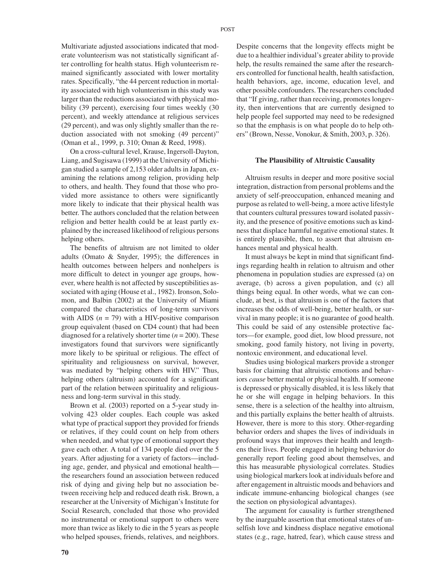Multivariate adjusted associations indicated that moderate volunteerism was not statistically significant after controlling for health status. High volunteerism remained significantly associated with lower mortality rates. Specifically, "the 44 percent reduction in mortality associated with high volunteerism in this study was larger than the reductions associated with physical mobility (39 percent), exercising four times weekly (30 percent), and weekly attendance at religious services (29 percent), and was only slightly smaller than the reduction associated with not smoking (49 percent)" (Oman et al., 1999, p. 310; Oman & Reed, 1998).

On a cross-cultural level, Krause, Ingersoll-Dayton, Liang, and Sugisawa (1999) at the University of Michigan studied a sample of 2,153 older adults in Japan, examining the relations among religion, providing help to others, and health. They found that those who provided more assistance to others were significantly more likely to indicate that their physical health was better. The authors concluded that the relation between religion and better health could be at least partly explained by the increased likelihood of religious persons helping others.

The benefits of altruism are not limited to older adults (Omato & Snyder, 1995); the differences in health outcomes between helpers and nonhelpers is more difficult to detect in younger age groups, however, where health is not affected by susceptibilities associated with aging (House et al., 1982). Ironson, Solomon, and Balbin (2002) at the University of Miami compared the characteristics of long-term survivors with AIDS  $(n = 79)$  with a HIV-positive comparison group equivalent (based on CD4 count) that had been diagnosed for a relatively shorter time (*n* = 200). These investigators found that survivors were significantly more likely to be spiritual or religious. The effect of spirituality and religiousness on survival, however, was mediated by "helping others with HIV." Thus, helping others (altruism) accounted for a significant part of the relation between spirituality and religiousness and long-term survival in this study.

Brown et al. (2003) reported on a 5-year study involving 423 older couples. Each couple was asked what type of practical support they provided for friends or relatives, if they could count on help from others when needed, and what type of emotional support they gave each other. A total of 134 people died over the 5 years. After adjusting for a variety of factors—including age, gender, and physical and emotional health the researchers found an association between reduced risk of dying and giving help but no association between receiving help and reduced death risk. Brown, a researcher at the University of Michigan's Institute for Social Research, concluded that those who provided no instrumental or emotional support to others were more than twice as likely to die in the 5 years as people who helped spouses, friends, relatives, and neighbors.

Despite concerns that the longevity effects might be due to a healthier individual's greater ability to provide help, the results remained the same after the researchers controlled for functional health, health satisfaction, health behaviors, age, income, education level, and other possible confounders. The researchers concluded that "If giving, rather than receiving, promotes longevity, then interventions that are currently designed to help people feel supported may need to be redesigned so that the emphasis is on what people do to help others" (Brown, Nesse, Vonokur, & Smith, 2003, p. 326).

#### **The Plausibility of Altruistic Causality**

Altruism results in deeper and more positive social integration, distraction from personal problems and the anxiety of self-preoccupation, enhanced meaning and purpose as related to well-being, a more active lifestyle that counters cultural pressures toward isolated passivity, and the presence of positive emotions such as kindness that displace harmful negative emotional states. It is entirely plausible, then, to assert that altruism enhances mental and physical health.

It must always be kept in mind that significant findings regarding health in relation to altruism and other phenomena in population studies are expressed (a) on average, (b) across a given population, and (c) all things being equal. In other words, what we can conclude, at best, is that altruism is one of the factors that increases the odds of well-being, better health, or survival in many people; it is no guarantee of good health. This could be said of any ostensible protective factors—for example, good diet, low blood pressure, not smoking, good family history, not living in poverty, nontoxic environment, and educational level.

Studies using biological markers provide a stronger basis for claiming that altruistic emotions and behaviors *cause* better mental or physical health. If someone is depressed or physically disabled, it is less likely that he or she will engage in helping behaviors. In this sense, there is a selection of the healthy into altruism, and this partially explains the better health of altruists. However, there is more to this story. Other-regarding behavior orders and shapes the lives of individuals in profound ways that improves their health and lengthens their lives. People engaged in helping behavior do generally report feeling good about themselves, and this has measurable physiological correlates. Studies using biological markers look at individuals before and after engagement in altruistic moods and behaviors and indicate immune-enhancing biological changes (see the section on physiological advantages).

The argument for causality is further strengthened by the inarguable assertion that emotional states of unselfish love and kindness displace negative emotional states (e.g., rage, hatred, fear), which cause stress and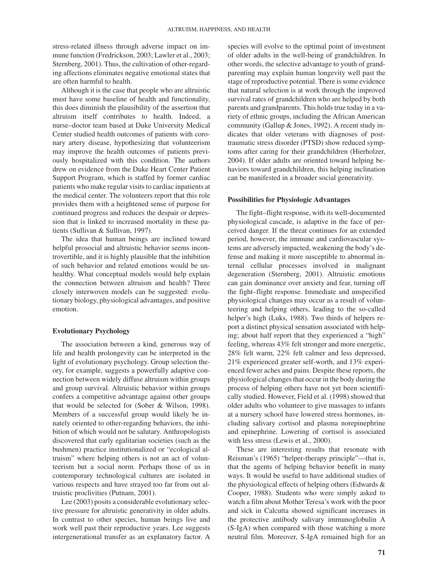stress-related illness through adverse impact on immune function (Fredrickson, 2003; Lawler et al., 2003; Sternberg, 2001). Thus, the cultivation of other-regarding affections eliminates negative emotional states that are often harmful to health.

Although it is the case that people who are altruistic must have some baseline of health and functionality, this does diminish the plausibility of the assertion that altruism itself contributes to health. Indeed, a nurse–doctor team based at Duke University Medical Center studied health outcomes of patients with coronary artery disease, hypothesizing that volunteerism may improve the health outcomes of patients previously hospitalized with this condition. The authors drew on evidence from the Duke Heart Center Patient Support Program, which is staffed by former cardiac patients who make regular visits to cardiac inpatients at the medical center. The volunteers report that this role provides them with a heightened sense of purpose for continued progress and reduces the despair or depression that is linked to increased mortality in these patients (Sullivan & Sullivan, 1997).

The idea that human beings are inclined toward helpful prosocial and altruistic behavior seems incontrovertible, and it is highly plausible that the inhibition of such behavior and related emotions would be unhealthy. What conceptual models would help explain the connection between altruism and health? Three closely interwoven models can be suggested: evolutionary biology, physiological advantages, and positive emotion.

#### **Evolutionary Psychology**

The association between a kind, generous way of life and health prolongevity can be interpreted in the light of evolutionary psychology. Group selection theory, for example, suggests a powerfully adaptive connection between widely diffuse altruism within groups and group survival. Altruistic behavior within groups confers a competitive advantage against other groups that would be selected for (Sober & Wilson, 1998). Members of a successful group would likely be innately oriented to other-regarding behaviors, the inhibition of which would not be salutary. Anthropologists discovered that early egalitarian societies (such as the bushmen) practice institutionalized or "ecological altruism" where helping others is not an act of volunteerism but a social norm. Perhaps those of us in contemporary technological cultures are isolated in various respects and have strayed too far from out altruistic proclivities (Putnam, 2001).

Lee (2003) posits a considerable evolutionary selective pressure for altruistic generativity in older adults. In contrast to other species, human beings live and work well past their reproductive years. Lee suggests intergenerational transfer as an explanatory factor. A species will evolve to the optimal point of investment of older adults in the well-being of grandchildren. In other words, the selective advantage to youth of grandparenting may explain human longevity well past the stage of reproductive potential. There is some evidence that natural selection is at work through the improved survival rates of grandchildren who are helped by both parents and grandparents. This holds true today in a variety of ethnic groups, including the African American community (Gallup & Jones, 1992). A recent study indicates that older veterans with diagnoses of posttraumatic stress disorder (PTSD) show reduced symptoms after caring for their grandchildren (Hierholzer, 2004). If older adults are oriented toward helping behaviors toward grandchildren, this helping inclination can be manifested in a broader social generativity.

### **Possibilities for Physiologic Advantages**

The fight–flight response, with its well-documented physiological cascade, is adaptive in the face of perceived danger. If the threat continues for an extended period, however, the immune and cardiovascular systems are adversely impacted, weakening the body's defense and making it more susceptible to abnormal internal cellular processes involved in malignant degeneration (Sternberg, 2001). Altruistic emotions can gain dominance over anxiety and fear, turning off the fight–flight response. Immediate and unspecified physiological changes may occur as a result of volunteering and helping others, leading to the so-called helper's high (Luks, 1988). Two thirds of helpers report a distinct physical sensation associated with helping; about half report that they experienced a "high" feeling, whereas 43% felt stronger and more energetic, 28% felt warm, 22% felt calmer and less depressed, 21% experienced greater self-worth, and 13% experienced fewer aches and pains. Despite these reports, the physiological changes that occur in the body during the process of helping others have not yet been scientifically studied. However, Field et al. (1998) showed that older adults who volunteer to give massages to infants at a nursery school have lowered stress hormones, including salivary cortisol and plasma norepinephrine and epinephrine. Lowering of cortisol is associated with less stress (Lewis et al., 2000).

These are interesting results that resonate with Reisman's (1965) "helper-therapy principle"—that is, that the agents of helping behavior benefit in many ways. It would be useful to have additional studies of the physiological effects of helping others (Edwards & Cooper, 1988). Students who were simply asked to watch a film about Mother Teresa's work with the poor and sick in Calcutta showed significant increases in the protective antibody salivary immunoglobulin A (S-IgA) when compared with those watching a more neutral film. Moreover, S-IgA remained high for an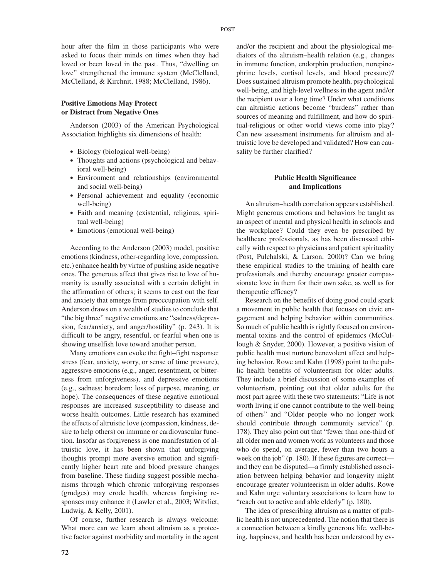## **Positive Emotions May Protect or Distract from Negative Ones**

Anderson (2003) of the American Psychological Association highlights six dimensions of health:

love" strengthened the immune system (McClelland, McClelland, & Kirchnit, 1988; McClelland, 1986).

- Biology (biological well-being)
- Thoughts and actions (psychological and behavioral well-being)
- Environment and relationships (environmental and social well-being)
- Personal achievement and equality (economic well-being)
- Faith and meaning (existential, religious, spiritual well-being)
- Emotions (emotional well-being)

According to the Anderson (2003) model, positive emotions (kindness, other-regarding love, compassion, etc.) enhance health by virtue of pushing aside negative ones. The generous affect that gives rise to love of humanity is usually associated with a certain delight in the affirmation of others; it seems to cast out the fear and anxiety that emerge from preoccupation with self. Anderson draws on a wealth of studies to conclude that "the big three" negative emotions are "sadness/depression, fear/anxiety, and anger/hostility" (p. 243). It is difficult to be angry, resentful, or fearful when one is showing unselfish love toward another person.

Many emotions can evoke the fight–fight response: stress (fear, anxiety, worry, or sense of time pressure), aggressive emotions (e.g., anger, resentment, or bitterness from unforgiveness), and depressive emotions (e.g., sadness; boredom; loss of purpose, meaning, or hope). The consequences of these negative emotional responses are increased susceptibility to disease and worse health outcomes. Little research has examined the effects of altruistic love (compassion, kindness, desire to help others) on immune or cardiovascular function. Insofar as forgiveness is one manifestation of altruistic love, it has been shown that unforgiving thoughts prompt more aversive emotion and significantly higher heart rate and blood pressure changes from baseline. These finding suggest possible mechanisms through which chronic unforgiving responses (grudges) may erode health, whereas forgiving responses may enhance it (Lawler et al., 2003; Witvliet, Ludwig, & Kelly, 2001).

Of course, further research is always welcome: What more can we learn about altruism as a protective factor against morbidity and mortality in the agent

and/or the recipient and about the physiological mediators of the altruism–health relation (e.g., changes in immune function, endorphin production, norepinephrine levels, cortisol levels, and blood pressure)? Does sustained altruism promote health, psychological well-being, and high-level wellness in the agent and/or the recipient over a long time? Under what conditions can altruistic actions become "burdens" rather than sources of meaning and fulfillment, and how do spiritual-religious or other world views come into play? Can new assessment instruments for altruism and altruistic love be developed and validated? How can causality be further clarified?

## **Public Health Significance and Implications**

An altruism–health correlation appears established. Might generous emotions and behaviors be taught as an aspect of mental and physical health in schools and the workplace? Could they even be prescribed by healthcare professionals, as has been discussed ethically with respect to physicians and patient spirituality (Post, Pulchalski, & Larson, 2000)? Can we bring these empirical studies to the training of health care professionals and thereby encourage greater compassionate love in them for their own sake, as well as for therapeutic efficacy?

Research on the benefits of doing good could spark a movement in public health that focuses on civic engagement and helping behavior within communities. So much of public health is rightly focused on environmental toxins and the control of epidemics (McCullough & Snyder, 2000). However, a positive vision of public health must nurture benevolent affect and helping behavior. Rowe and Kahn (1998) point to the public health benefits of volunteerism for older adults. They include a brief discussion of some examples of volunteerism, pointing out that older adults for the most part agree with these two statements: "Life is not worth living if one cannot contribute to the well-being of others" and "Older people who no longer work should contribute through community service" (p. 178). They also point out that "fewer than one-third of all older men and women work as volunteers and those who do spend, on average, fewer than two hours a week on the job" (p. 180). If these figures are correct and they can be disputed—a firmly established association between helping behavior and longevity might encourage greater volunteerism in older adults. Rowe and Kahn urge voluntary associations to learn how to "reach out to active and able elderly" (p. 180).

The idea of prescribing altruism as a matter of public health is not unprecedented. The notion that there is a connection between a kindly generous life, well-being, happiness, and health has been understood by ev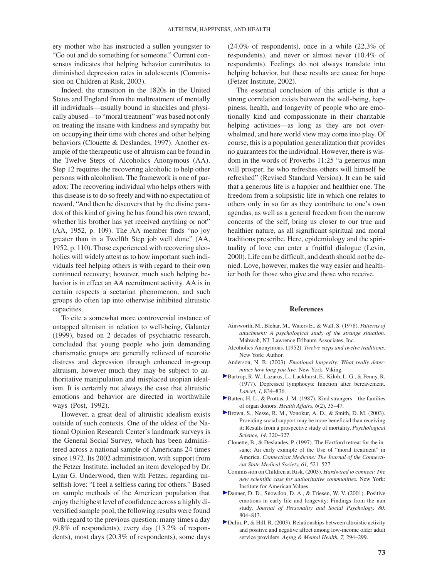ery mother who has instructed a sullen youngster to "Go out and do something for someone." Current consensus indicates that helping behavior contributes to diminished depression rates in adolescents (Commission on Children at Risk, 2003).

Indeed, the transition in the 1820s in the United States and England from the maltreatment of mentally ill individuals—usually bound in shackles and physically abused—to "moral treatment" was based not only on treating the insane with kindness and sympathy but on occupying their time with chores and other helping behaviors (Clouette & Deslandes, 1997). Another example of the therapeutic use of altruism can be found in the Twelve Steps of Alcoholics Anonymous (AA). Step 12 requires the recovering alcoholic to help other persons with alcoholism. The framework is one of paradox: The recovering individual who helps others with this disease is to do so freely and with no expectation of reward, "And then he discovers that by the divine paradox of this kind of giving he has found his own reward, whether his brother has yet received anything or not" (AA, 1952, p. 109). The AA member finds "no joy greater than in a Twelfth Step job well done" (AA, 1952, p. 110). Those experienced with recovering alcoholics will widely attest as to how important such individuals feel helping others is with regard to their own continued recovery; however, much such helping behavior is in effect an AA recruitment activity. AA is in certain respects a sectarian phenomenon, and such groups do often tap into otherwise inhibited altruistic capacities.

To cite a somewhat more controversial instance of untapped altruism in relation to well-being, Galanter (1999), based on 2 decades of psychiatric research, concluded that young people who join demanding charismatic groups are generally relieved of neurotic distress and depression through enhanced in-group altruism, however much they may be subject to authoritative manipulation and misplaced utopian idealism. It is certainly not always the case that altruistic emotions and behavior are directed in worthwhile ways (Post, 1992).

However, a great deal of altruistic idealism exists outside of such contexts. One of the oldest of the National Opinion Research Center's landmark surveys is the General Social Survey, which has been administered across a national sample of Americans 24 times since 1972. Its 2002 administration, with support from the Fetzer Institute, included an item developed by Dr. Lynn G. Underwood, then with Fetzer, regarding unselfish love: "I feel a selfless caring for others." Based on sample methods of the American population that enjoy the highest level of confidence across a highly diversified sample pool, the following results were found with regard to the previous question: many times a day (9.8% of respondents), every day (13.2% of respondents), most days (20.3% of respondents), some days

(24.0% of respondents), once in a while (22.3% of respondents), and never or almost never (10.4% of respondents). Feelings do not always translate into helping behavior, but these results are cause for hope (Fetzer Institute, 2002).

The essential conclusion of this article is that a strong correlation exists between the well-being, happiness, health, and longevity of people who are emotionally kind and compassionate in their charitable helping activities—as long as they are not overwhelmed, and here world view may come into play. Of course, this is a population generalization that provides no guarantees for the individual. However, there is wisdom in the words of Proverbs 11:25 "a generous man will prosper, he who refreshes others will himself be refreshed" (Revised Standard Version). It can be said that a generous life is a happier and healthier one. The freedom from a solipsistic life in which one relates to others only in so far as they contribute to one's own agendas, as well as a general freedom from the narrow concerns of the self, bring us closer to our true and healthier nature, as all significant spiritual and moral traditions prescribe. Here, epidemiology and the spirituality of love can enter a fruitful dialogue (Levin, 2000). Life can be difficult, and death should not be denied. Love, however, makes the way easier and healthier both for those who give and those who receive.

#### **References**

- Ainsworth, M., Blehar, M., Waters E., & Wall, S. (1978). *Patterns of attachment: A psychological study of the strange situation.* Mahwah, NJ: Lawrence Erlbaum Associates, Inc.
- Alcoholics Anonymous. (1952). *Twelve steps and twelve traditions.* New York: Author.
- Anderson, N. B. (2003). *Emotional longevity: What really determines how long you live.* New York: Viking.
- Bartrop, R. W., Lazarus, L., Luckhurst, E., Kiloh, L. G., & Penny, R. (1977). Depressed lymphocyte function after bereavement. *Lancet, 1,* 834–836.
- Batten, H. L., & Prottas, J. M. (1987). Kind strangers—the families of organ donors. *Health Affairs, 6*(2), 35–47.
- Brown, S., Nesse, R. M., Vonokur, A. D., & Smith, D. M. (2003). Providing social support may be more beneficial than receiving it: Results from a prospective study of mortality. *Psychological Science, 14,* 320–327.
- Clouette, B., & Deslandes, P. (1997). The Hartford retreat for the insane: An early example of the Use of "moral treatment" in America. *Connecticut Medicine: The Journal of the Connecticut State Medical Society, 61,* 521–527.
- Commission on Children at Risk. (2003). *Hardwired to connect: The new scientific case for authoritative communities.* New York: Institute for American Values.
- Danner, D. D., Snowdon, D. A., & Friesen, W. V. (2001). Positive emotions in early life and longevity: Findings from the nun study. *Journal of Personality and Social Psychology, 80,* 804–813.
- Dulin, P., & Hill, R. (2003). Relationships between altruistic activity and positive and negative affect among low-income older adult service providers. *Aging & Mental Health, 7,* 294–299.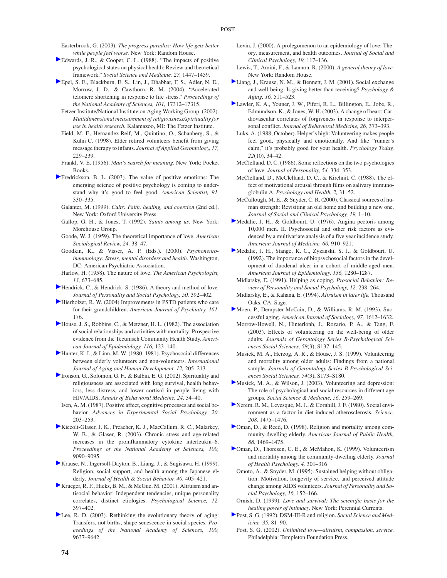Easterbrook, G. (2003). *The progress paradox: How life gets better while people feel worse.* New York: Random House.

- Edwards, J. R., & Cooper, C. L. (1988). "The impacts of positive psychological states on physical health: Review and theoretical framework." *Social Science and Medicine, 27,* 1447–1459.
- Epel, S. E., Blackburn, E. S., Lin, J., Dhabhar, F. S., Adler, N. E., Morrow, J. D., & Cawthorn, R. M. (2004). "Accelerated telomere shortening in response to life stress." *Proceedings of the National Academy of Sciences, 101,* 17312–17315.
- Fetzer Institute/National Institute on Aging Working Group. (2002). *Multidimensional measurement of religiousness/spirituality for use in health research.* Kalamazoo, MI: The Fetzer Institute.
- Field, M. F., Hernandez-Reif, M., Quintino, O., Schanberg, S., & Kuhn C. (1998). Elder retired volunteers benefit from giving message therapy to infants. *Journal of Applied Gerontology, 17,* 229–239.
- Frankl, V. E. (1956). *Man's search for meaning.* New York: Pocket Books.
- Fredrickson, B. L. (2003). The value of positive emotions: The emerging science of positive psychology is coming to understand why it's good to feel good. *American Scientist, 91,* 330–335.
- Galanter, M. (1999). *Cults: Faith, healing, and coercion* (2nd ed.). New York: Oxford University Press.
- Gallop, G. H., & Jones, T. (1992). *Saints among us.* New York: Morehouse Group.
- Goode, W. J. (1959). The theoretical importance of love. *American Sociological Review, 24,* 38–47.
- Goodkin, K., & Visser, A. P. (Eds.). (2000). *Psychoneuroimmunology: Stress, mental disorders and health.* Washington, DC: American Psychiatric Association.
- Harlow, H. (1958). The nature of love. *The American Psychologist, 13,* 673–685.
- Hendrick, C., & Hendrick, S. (1986). A theory and method of love. *Journal of Personality and Social Psychology, 50,* 392–402.
- Hierholzer, R. W. (2004) Improvements in PSTD patients who care for their grandchildren. *American Journal of Psychiatry, 161,* 176.
- House, J. S., Robbins, C., & Metzner, H. L. (1982). The association of social relationships and activities with mortality: Prospective evidence from the Tecumseh Community Health Study. *American Journal of Epidemiology, 116,* 123–140.
- Hunter, K. I., & Linn, M. W. (1980–1981). Psychosocial differences between elderly volunteers and non-volunteers. *International Journal of Aging and Human Development, 12,* 205–213.
- Ironson, G., Solomon, G. F., & Balbin, E. G. (2002). Spirituality and religiousness are associated with long survival, health behaviors, less distress, and lower cortisol in people living with HIV/AIDS. *Annals of Behavioral Medicine, 24,* 34–40.
- Isen, A. M. (1987). Positive affect, cognitive processes and social behavior. *Advances in Experimental Social Psychology, 20,* 203–253.
- Kiecolt-Glaser, J. K., Preacher, K. J., MacCallum, R. C., Malarkey, W. B., & Glaser, R. (2003). Chronic stress and age-related increases in the proinflammatory cytokine interleukin–6. *Proceedings of the National Academy of Sciences, 100,* 9090–9095.
- Krause, N., Ingersoll-Dayton, B., Liang, J., & Sugisawa, H. (1999). Religion, social support, and health among the Japanese elderly*. Journal of Health & Social Behavior, 40,* 405–421.
- Krueger, R. F., Hicks, B. M., & McGue, M. (2001). Altruism and antisocial behavior: Independent tendencies, unique personality correlates, distinct etiologies. *Psychological Science, 12,* 397–402.
- Lee, R. D. (2003). Rethinking the evolutionary theory of aging: Transfers, not births, shape senescence in social species. *Proceedings of the National Academy of Sciences, 100,* 9637–9642.
- Levin, J. (2000). A prolegomenon to an epidemiology of love: Theory, measurement, and health outcomes. *Journal of Social and Clinical Psychology, 19,* 117–136.
- Lewis, T., Amini, F., & Lannon, R. (2000). *A general theory of love.* New York: Random House.
- Liang, J., Krause, N. M., & Bennett, J. M. (2001). Social exchange and well-being: Is giving better than receiving? *Psychology & Aging, 16,* 511–523.
- Lawler, K. A., Youner, J. W., Piferi, R. L., Billington, E., Jobe, R., Edmundson, K., & Jones, W. H. (2003). A change of heart: Cardiovascular correlates of forgiveness in response to interpersonal conflict. *Journal of Behavioral Medicine, 26,* 373–393.
- Luks, A. (1988, October). Helper's high: Volunteering makes people feel good, physically and emotionally. And like "runner's calm," it's probably good for your health. *Psychology Today, 22*(10), 34–42.
- McClelland, D. C. (1986). Some reflections on the two psychologies of love. *Journal of Personality, 54,* 334–353.
- McClelland, D., McClelland, D. C., & Kirchnit, C. (1988). The effect of motivational arousal through films on salivary immunoglobulin A. *Psychology and Health, 2,* 31–52.
- McCullough, M. E., & Snyder, C. R. (2000). Classical sources of human strength: Revisiting an old home and building a new one. *Journal of Social and Clinical Psychology, 19,* 1–10.
- Medalie, J. H., & Goldbourt, U. (1976). Angina pectoris among 10,000 men. II. Psychosocial and other risk factors as evidenced by a multivariate analysis of a five year incidence study. *American Journal of Medicine, 60,* 910–921.
- Medalie, J. H., Stange, K. C., Zyzanski, S. J., & Goldbourt, U. (1992). The importance of biopsychosocial factors in the development of duodenal ulcer in a cohort of middle-aged men. *American Journal of Epidemiology, 136,* 1280–1287.
- Midlarsky, E. (1991). Helping as coping. *Prosocial Behavior: Review of Personality and Social Psychology, 12,* 238–264.
- Midlarsky, E., & Kahana, E. (1994). *Altruism in later life.* Thousand Oaks, CA: Sage.
- Moen, P., Dempster-McCain, D., & Williams, R. M. (1993). Successful aging. *American Journal of Sociology, 97,* 1612–1632.
- Morrow-Howell, N., Hinterlonh, J., Rozario, P. A., & Tang, F. (2003). Effects of volunteering on the well-being of older adults. *Journals of Gerontology Series B-Psychological Sciences Social Sciences, 58*(3), S137–145.
- Musick, M. A., Herzog, A. R., & House, J. S. (1999). Volunteering and mortality among older adults: Findings from a national sample. *Journals of Gerontology Series B-Psychological Sciences Social Sciences, 54*(3), S173–S180.
- Musick, M. A., & Wilson, J. (2003). Volunteering and depression: The role of psychological and social resources in different age groups. *Social Science & Medicine, 56,* 259–269.
- Nerem, R. M., Levesque, M. J., & Cornhill, J. F. (1980). Social environment as a factor in diet-induced atherosclerosis. *Science, 208,* 1475–1476.
- Oman, D., & Reed, D. (1998). Religion and mortality among community-dwelling elderly. *American Journal of Public Health, 88,* 1469–1475.
- Oman, D., Thoresen, C. E., & McMahon, K. (1999). Volunteerism and mortality among the community-dwelling elderly. *Journal of Health Psychology, 4,* 301–316
- Omoto, A., & Snyder, M. (1995). Sustained helping without obligation: Motivation, longevity of service, and perceived attitude change among AIDS volunteers. *Journal of Personality and Social Psychology, 16,* 152–166.
- Ornish, D. (1999). *Love and survival: The scientific basis for the healing power of intimacy.* New York: Perennial Currents.
- Post, S. G. (1992). DSM-III-R and religion. *Social Science and Medicine, 35,* 81–90.
	- Post, S. G. (2002). *Unlimited love—altruism, compassion, service.* Philadelphia: Templeton Foundation Press.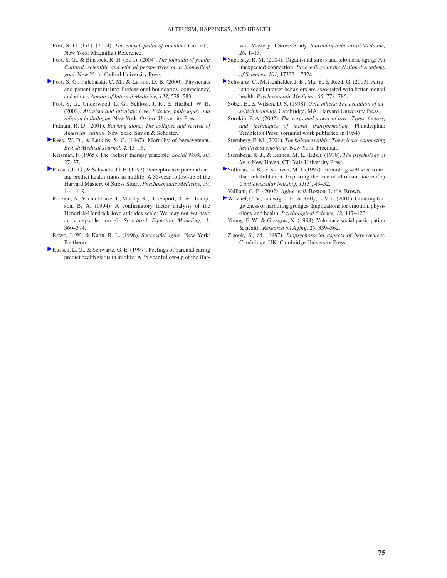- Post, S. G. (Ed.). (2004). *The encyclopedia of bioethics* (3rd ed.). New York: Macmillan Reference.
- Post, S. G., & Binstock, R. H. (Eds.). (2004). *The fountain of youth: Cultural, scientific and ethical perspectives on a biomedical goal.* New York: Oxford University Press.
- Post, S. G., Pulchalski, C. M., & Larson, D. B. (2000). Physicians and patient spirituality: Professional boundaries, competency, and ethics. *Annals of Internal Medicine, 132,* 578–583.
	- Post, S. G., Underwood, L. G., Schloss, J. R., & Hurlbut, W. B. (2002). *Altruism and altruistic love: Science, philosophy and religion in dialogue.* New York: Oxford University Press.
- Putnam, R. D. (2001). *Bowling alone: The collapse and revival of American culture.* New York: Simon & Schuster.
- Rees, W. D., & Lutkins, S. G. (1967). Mortality of bereavement. *British Medical Journal, 4,* 13–16.
- Reisman, F. (1965). The 'helper' therapy principle. *Social Work, 10,* 27–37.
- Russek, L. G., & Schwartz, G. E. (1997). Perceptions of parental caring predict health status in midlife: A 35-year follow-up of the Harvard Mastery of Stress Study. *Psychosomatic Medicine, 59,* 144–149.
- Rotzien, A., Vacha-Haase, T., Murthy, K., Davenport, D., & Thompson, B. A. (1994). A confirmatory factor analysis of the Hendrick-Hendrick love attitudes scale: We may not yet have an acceptable model. *Structural Equation Modeling, 1,* 360–374.
- Rowe, J. W., & Kahn, R. L. (1998). *Successful aging.* New York: Pantheon.
- Russek, L. G., & Schwartz, G. E. (1997). Feelings of parental caring predict health status in midlife: A 35 year follow-up of the Har-

vard Mastery of Stress Study. *Journal of Behavioral Medicine, 20,* 1–13.

- Sapolsky, R. M. (2004). Organismal stress and telomeric aging: An unexpected connection. *Proceedings of the National Academy of Sciences, 101,* 17323–17324.
- Schwartz, C., Meisenhelder, J. B., Ma, Y., & Reed, G. (2003). Altruistic social interest behaviors are associated with better mental health. *Psychosomatic Medicine, 65,* 778–785.
- Sober, E., & Wilson, D. S. (1998). *Unto others: The evolution of unselfish behavior.* Cambridge, MA: Harvard University Press.
- Sorokin, P. A. (2002). *The ways and power of love: Types, factors, and techniques of moral transformation.* Philadelphia: Templeton Press. (original work published in 1954)
- Sternberg, E. M. (2001). *The balance within: The science connecting health and emotions.* New York: Freeman.
- Sternberg, R. J., & Barnes, M. L. (Eds.). (1988). *The psychology of love.* New Haven, CT: Yale University Press.
- Sullivan, G. B., & Sullivan, M. J. (1997). Promoting wellness in cardiac rehabilitation: Exploring the role of altruism. *Journal of Cardiovascular Nursing, 11*(3), 43–52.
	- Vaillant, G. E. (2002). *Aging well.* Boston: Little, Brown.
- Witvliet, C. V., Ludwig, T. E., & Kelly, L. V. L. (2001). Granting forgiveness or harboring grudges: Implications for emotion, physiology and health. *Psychological Science, 12,* 117–123.
	- Young, F. W., & Glasgow, N. (1998). Voluntary social participation & health. *Research on Aging, 20,* 339–362.
	- Zisook, S., ed. (1987). *Biopsychosocial aspects of bereavement.* Cambridge, UK: Cambridge University Press.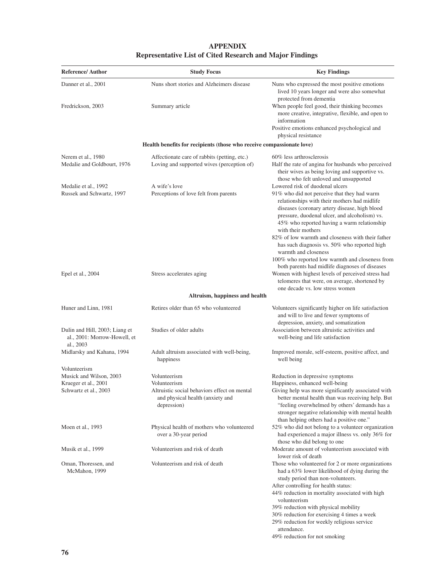| <b>APPENDIX</b>                                                 |
|-----------------------------------------------------------------|
| <b>Representative List of Cited Research and Major Findings</b> |

| <b>Reference/Author</b>                                                     | <b>Study Focus</b>                                                                              | <b>Key Findings</b>                                                                                                                                                                                                                                                                                                                                                                                                                                                                                                                     |
|-----------------------------------------------------------------------------|-------------------------------------------------------------------------------------------------|-----------------------------------------------------------------------------------------------------------------------------------------------------------------------------------------------------------------------------------------------------------------------------------------------------------------------------------------------------------------------------------------------------------------------------------------------------------------------------------------------------------------------------------------|
| Danner et al., 2001                                                         | Nuns short stories and Alzheimers disease                                                       | Nuns who expressed the most positive emotions<br>lived 10 years longer and were also somewhat<br>protected from dementia                                                                                                                                                                                                                                                                                                                                                                                                                |
| Fredrickson, 2003                                                           | Summary article                                                                                 | When people feel good, their thinking becomes<br>more creative, integrative, flexible, and open to<br>information                                                                                                                                                                                                                                                                                                                                                                                                                       |
|                                                                             |                                                                                                 | Positive emotions enhanced psychological and<br>physical resistance                                                                                                                                                                                                                                                                                                                                                                                                                                                                     |
|                                                                             | Health benefits for recipients (those who receive compassionate love)                           |                                                                                                                                                                                                                                                                                                                                                                                                                                                                                                                                         |
| Nerem et al., 1980<br>Medalie and Goldbourt, 1976                           | Affectionate care of rabbits (petting, etc.)<br>Loving and supported wives (perception of)      | 60% less arthrosclerosis<br>Half the rate of angina for husbands who perceived<br>their wives as being loving and supportive vs.<br>those who felt unloved and unsupported                                                                                                                                                                                                                                                                                                                                                              |
| Medalie et al., 1992<br>Russek and Schwartz, 1997                           | A wife's love<br>Perceptions of love felt from parents                                          | Lowered risk of duodenal ulcers<br>91% who did not perceive that they had warm<br>relationships with their mothers had midlife<br>diseases (coronary artery disease, high blood<br>pressure, duodenal ulcer, and alcoholism) vs.<br>45% who reported having a warm relationship<br>with their mothers<br>82% of low warmth and closeness with their father<br>has such diagnosis vs. 50% who reported high<br>warmth and closeness<br>100% who reported low warmth and closeness from<br>both parents had midlife diagnoses of diseases |
| Epel et al., 2004                                                           | Stress accelerates aging                                                                        | Women with highest levels of perceived stress had<br>telomeres that were, on average, shortened by<br>one decade vs. low stress women                                                                                                                                                                                                                                                                                                                                                                                                   |
|                                                                             | Altruism, happiness and health                                                                  |                                                                                                                                                                                                                                                                                                                                                                                                                                                                                                                                         |
| Huner and Linn, 1981                                                        | Retires older than 65 who volunteered                                                           | Volunteers significantly higher on life satisfaction<br>and will to live and fewer symptoms of<br>depression, anxiety, and somatization                                                                                                                                                                                                                                                                                                                                                                                                 |
| Dulin and Hill, 2003; Liang et<br>al., 2001: Morrow-Howell, et<br>al., 2003 | Studies of older adults                                                                         | Association between altruistic activities and<br>well-being and life satisfaction                                                                                                                                                                                                                                                                                                                                                                                                                                                       |
| Midlarsky and Kahana, 1994                                                  | Adult altruism associated with well-being,<br>happiness                                         | Improved morale, self-esteem, positive affect, and<br>well being                                                                                                                                                                                                                                                                                                                                                                                                                                                                        |
| Volunteerism<br>Musick and Wilson, 2003                                     | Volunteerism                                                                                    | Reduction in depressive symptoms                                                                                                                                                                                                                                                                                                                                                                                                                                                                                                        |
| Krueger et al., 2001                                                        | Volunteerism                                                                                    | Happiness, enhanced well-being                                                                                                                                                                                                                                                                                                                                                                                                                                                                                                          |
| Schwartz et al., 2003                                                       | Altruistic social behaviors effect on mental<br>and physical health (anxiety and<br>depression) | Giving help was more significantly associated with<br>better mental health than was receiving help. But<br>"feeling overwhelmed by others' demands has a<br>stronger negative relationship with mental health<br>than helping others had a positive one."                                                                                                                                                                                                                                                                               |
| Moen et al., 1993                                                           | Physical health of mothers who volunteered<br>over a 30-year period                             | 52% who did not belong to a volunteer organization<br>had experienced a major illness vs. only 36% for<br>those who did belong to one                                                                                                                                                                                                                                                                                                                                                                                                   |
| Musik et al., 1999                                                          | Volunteerism and risk of death                                                                  | Moderate amount of volunteerism associated with<br>lower risk of death                                                                                                                                                                                                                                                                                                                                                                                                                                                                  |
| Oman, Thoressen, and<br>McMahon, 1999                                       | Volunteerism and risk of death                                                                  | Those who volunteered for 2 or more organizations<br>had a 63% lower likelihood of dying during the<br>study period than non-volunteers.<br>After controlling for health status:<br>44% reduction in mortality associated with high<br>volunteerism<br>39% reduction with physical mobility<br>30% reduction for exercising 4 times a week<br>29% reduction for weekly religious service<br>attendance.                                                                                                                                 |

49% reduction for not smoking